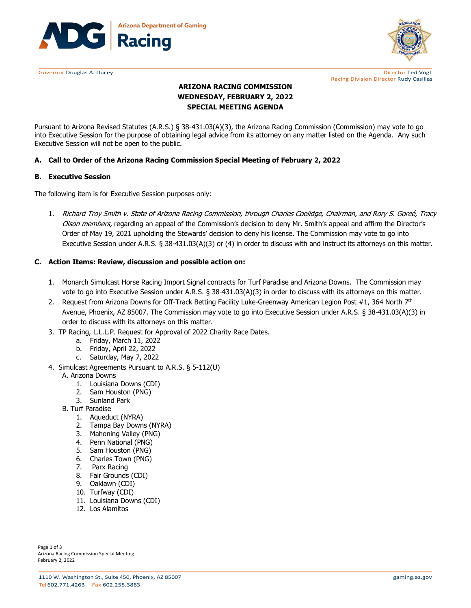



Governor Douglas A. Ducey **Director Ted Vogt Director Ted Vogt Director Ted Vogt Director Ted Vogt** Racing Division Director Rudy Casillas

# **ARIZONA RACING COMMISSION WEDNESDAY, FEBRUARY 2, 2022 SPECIAL MEETING AGENDA**

Pursuant to Arizona Revised Statutes (A.R.S.) § 38-431.03(A)(3), the Arizona Racing Commission (Commission) may vote to go into Executive Session for the purpose of obtaining legal advice from its attorney on any matter listed on the Agenda. Any such Executive Session will not be open to the public.

# **A. Call to Order of the Arizona Racing Commission Special Meeting of February 2, 2022**

#### **B. Executive Session**

The following item is for Executive Session purposes only:

1. Richard Troy Smith v. State of Arizona Racing Commission, through Charles Coolidge, Chairman, and Rory S. Goreé, Tracy Olson members, regarding an appeal of the Commission's decision to deny Mr. Smith's appeal and affirm the Director's Order of May 19, 2021 upholding the Stewards' decision to deny his license. The Commission may vote to go into Executive Session under A.R.S. § 38-431.03(A)(3) or (4) in order to discuss with and instruct its attorneys on this matter.

## **C. Action Items: Review, discussion and possible action on:**

- 1. Monarch Simulcast Horse Racing Import Signal contracts for Turf Paradise and Arizona Downs. The Commission may vote to go into Executive Session under A.R.S. § 38-431.03(A)(3) in order to discuss with its attorneys on this matter.
- 2. Request from Arizona Downs for Off-Track Betting Facility Luke-Greenway American Legion Post #1, 364 North  $7<sup>th</sup>$ Avenue, Phoenix, AZ 85007. The Commission may vote to go into Executive Session under A.R.S. § 38-431.03(A)(3) in order to discuss with its attorneys on this matter.
- 3. TP Racing, L.L.L.P. Request for Approval of 2022 Charity Race Dates.
	- a. Friday, March 11, 2022
	- b. Friday, April 22, 2022
	- c. Saturday, May 7, 2022
- 4. Simulcast Agreements Pursuant to A.R.S. § 5-112(U)

#### A. Arizona Downs

- 1. Louisiana Downs (CDI)
- 2. Sam Houston (PNG)
- 3. Sunland Park
- B. Turf Paradise
	- 1. Aqueduct (NYRA)
	- 2. Tampa Bay Downs (NYRA)
	- 3. Mahoning Valley (PNG)
	- 4. Penn National (PNG)
	- 5. Sam Houston (PNG)
	- 6. Charles Town (PNG)
	- 7. Parx Racing
	- 8. Fair Grounds (CDI)
	- 9. Oaklawn (CDI)
	- 10. Turfway (CDI)
	- 11. Louisiana Downs (CDI)
	- 12. Los Alamitos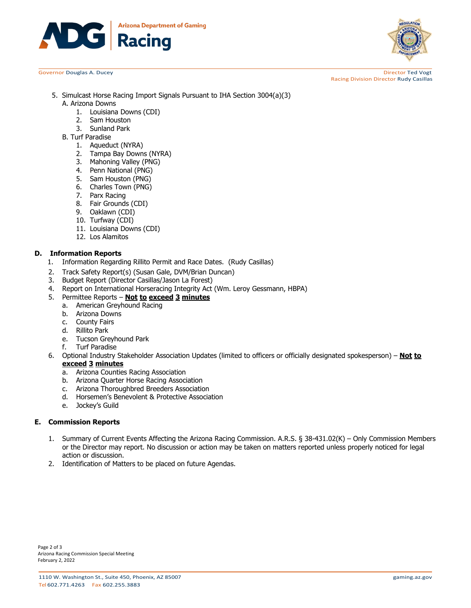



Governor Douglas A. Ducey **Director Ted Vogt Director Ted Vogt Director Ted Vogt Director Ted Vogt** Racing Division Director Rudy Casillas

- 5. Simulcast Horse Racing Import Signals Pursuant to IHA Section 3004(a)(3) A. Arizona Downs
	- 1. Louisiana Downs (CDI)
	- 2. Sam Houston
	- 3. Sunland Park
	- B. Turf Paradise
		- 1. Aqueduct (NYRA)
		- 2. Tampa Bay Downs (NYRA)
		- 3. Mahoning Valley (PNG)
		- 4. Penn National (PNG)
		- 5. Sam Houston (PNG)
		- 6. Charles Town (PNG)
		- 7. Parx Racing
		- 8. Fair Grounds (CDI)
		- 9. Oaklawn (CDI)
		- 10. Turfway (CDI)
		- 11. Louisiana Downs (CDI)
		- 12. Los Alamitos

#### **D. Information Reports**

- 1. Information Regarding Rillito Permit and Race Dates. (Rudy Casillas)
- 2. Track Safety Report(s) (Susan Gale, DVM/Brian Duncan)<br>3. Budget Report (Director Casillas/Jason La Forest)
- 
- 3. Budget Report (Director Casillas/Jason La Forest)<br>4. Report on International Horseracing Integrity Act 4. Report on International Horseracing Integrity Act (Wm. Leroy Gessmann, HBPA)
- 5. Permittee Reports **Not to exceed 3 minutes**
	- a. American Greyhound Racing
	- b. Arizona Downs
	- c. County Fairs
	- d. Rillito Park
	- e. Tucson Greyhound Park<br>f. Turf Paradise
	- **Turf Paradise**
- 6. Optional Industry Stakeholder Association Updates (limited to officers or officially designated spokesperson) **Not to exceed 3 minutes**
	- a. Arizona Counties Racing Association
	- b. Arizona Quarter Horse Racing Association
	- c. Arizona Thoroughbred Breeders Association
	- d. Horsemen's Benevolent & Protective Association
	- e. Jockey's Guild

#### **E. Commission Reports**

- 1. Summary of Current Events Affecting the Arizona Racing Commission. A.R.S. § 38-431.02(K) Only Commission Members or the Director may report. No discussion or action may be taken on matters reported unless properly noticed for legal action or discussion.
- 2. Identification of Matters to be placed on future Agendas.